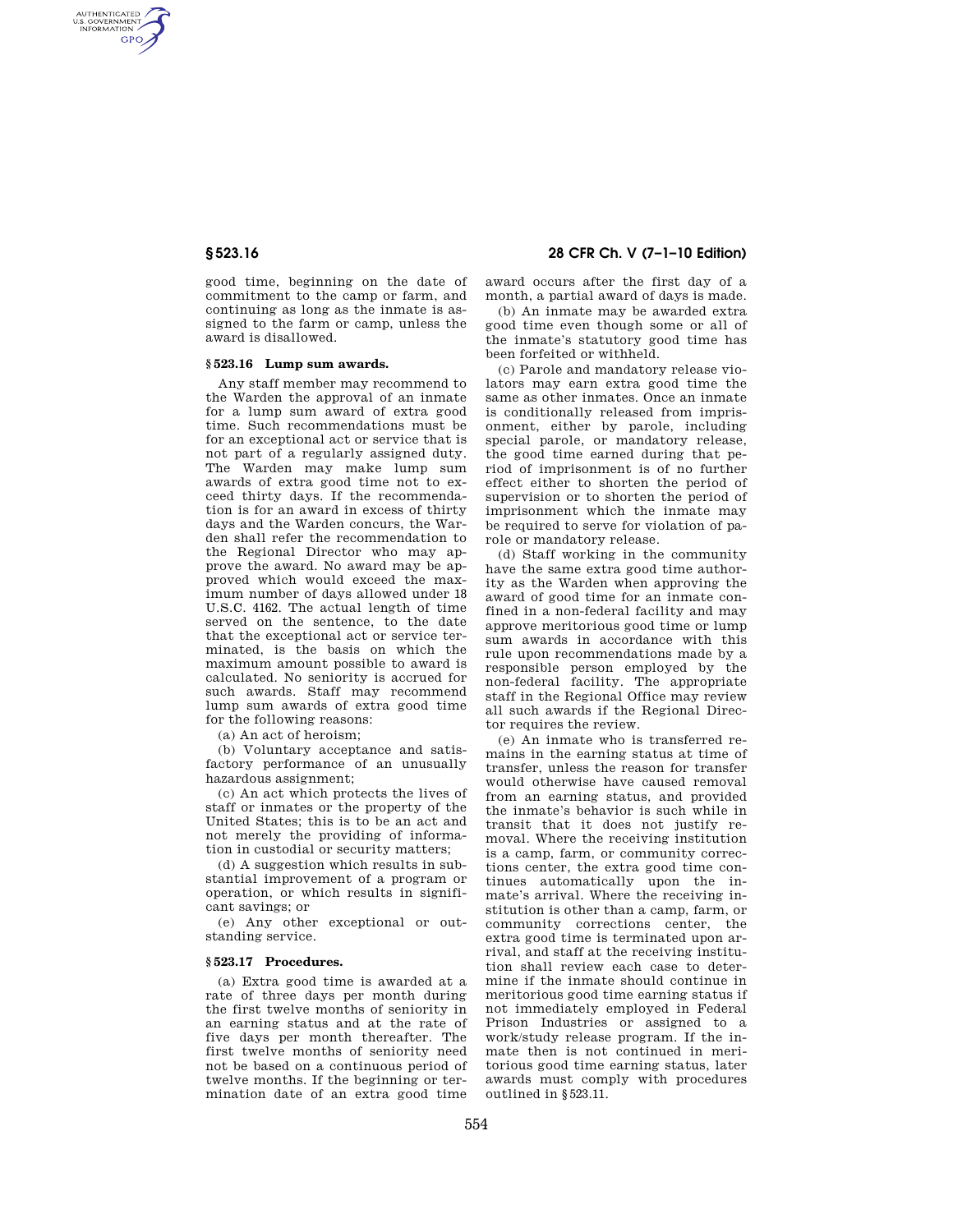AUTHENTICATED<br>U.S. GOVERNMENT<br>INFORMATION **GPO** 

> good time, beginning on the date of commitment to the camp or farm, and continuing as long as the inmate is assigned to the farm or camp, unless the award is disallowed.

#### **§ 523.16 Lump sum awards.**

Any staff member may recommend to the Warden the approval of an inmate for a lump sum award of extra good time. Such recommendations must be for an exceptional act or service that is not part of a regularly assigned duty. The Warden may make lump sum awards of extra good time not to exceed thirty days. If the recommendation is for an award in excess of thirty days and the Warden concurs, the Warden shall refer the recommendation to the Regional Director who may approve the award. No award may be approved which would exceed the maximum number of days allowed under 18 U.S.C. 4162. The actual length of time served on the sentence, to the date that the exceptional act or service terminated, is the basis on which the maximum amount possible to award is calculated. No seniority is accrued for such awards. Staff may recommend lump sum awards of extra good time for the following reasons:

(a) An act of heroism;

(b) Voluntary acceptance and satisfactory performance of an unusually hazardous assignment;

(c) An act which protects the lives of staff or inmates or the property of the United States; this is to be an act and not merely the providing of information in custodial or security matters;

(d) A suggestion which results in substantial improvement of a program or operation, or which results in significant savings; or

(e) Any other exceptional or outstanding service.

### **§ 523.17 Procedures.**

(a) Extra good time is awarded at a rate of three days per month during the first twelve months of seniority in an earning status and at the rate of five days per month thereafter. The first twelve months of seniority need not be based on a continuous period of twelve months. If the beginning or termination date of an extra good time

# **§ 523.16 28 CFR Ch. V (7–1–10 Edition)**

award occurs after the first day of a month, a partial award of days is made.

(b) An inmate may be awarded extra good time even though some or all of the inmate's statutory good time has been forfeited or withheld.

(c) Parole and mandatory release violators may earn extra good time the same as other inmates. Once an inmate is conditionally released from imprisonment, either by parole, including special parole, or mandatory release, the good time earned during that period of imprisonment is of no further effect either to shorten the period of supervision or to shorten the period of imprisonment which the inmate may be required to serve for violation of parole or mandatory release.

(d) Staff working in the community have the same extra good time authority as the Warden when approving the award of good time for an inmate confined in a non-federal facility and may approve meritorious good time or lump sum awards in accordance with this rule upon recommendations made by a responsible person employed by the non-federal facility. The appropriate staff in the Regional Office may review all such awards if the Regional Director requires the review.

(e) An inmate who is transferred remains in the earning status at time of transfer, unless the reason for transfer would otherwise have caused removal from an earning status, and provided the inmate's behavior is such while in transit that it does not justify removal. Where the receiving institution is a camp, farm, or community corrections center, the extra good time continues automatically upon the inmate's arrival. Where the receiving institution is other than a camp, farm, or community corrections center, the extra good time is terminated upon arrival, and staff at the receiving institution shall review each case to determine if the inmate should continue in meritorious good time earning status if not immediately employed in Federal Prison Industries or assigned to a work/study release program. If the inmate then is not continued in meritorious good time earning status, later awards must comply with procedures outlined in §523.11.